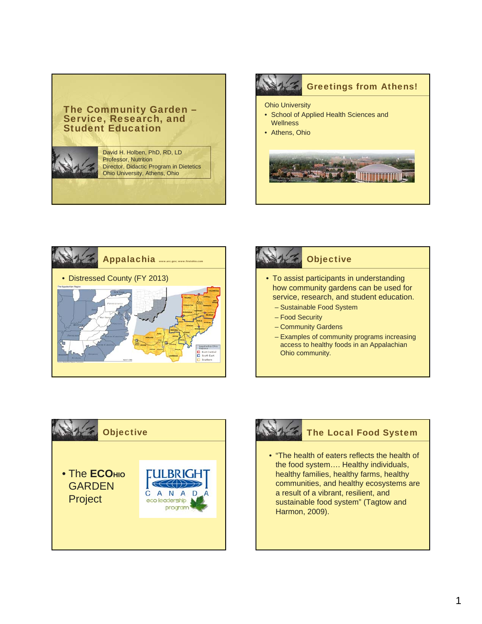# The Community Garden – Service, Research, and Student Education

David H. Holben, PhD, RD, LD Professor, Nutrition Director, Didactic Program in Dietetics Ohio University, Athens, Ohio





# **Objective** • To assist participants in understanding how community gardens can be used for service, research, and student education. – Sustainable Food System – Food Security – Community Gardens – Examples of community programs increasing access to healthy foods in an Appalachian Ohio community.





# The Local Food System

• "The health of eaters reflects the health of the food system…. Healthy individuals, healthy families, healthy farms, healthy communities, and healthy ecosystems are a result of a vibrant, resilient, and sustainable food system" (Tagtow and Harmon, 2009).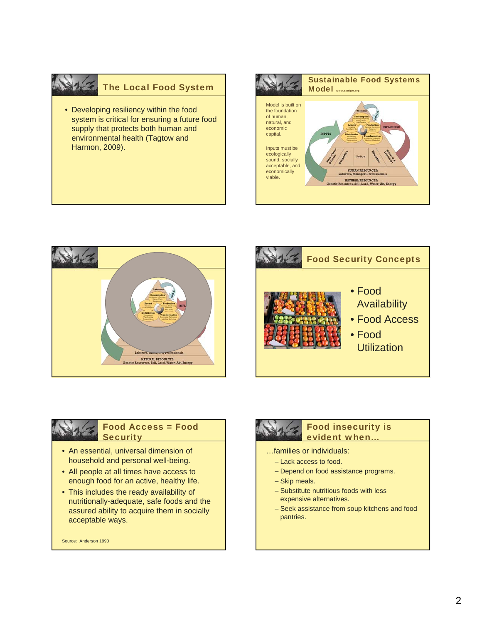# The Local Food System

• Developing resiliency within the food system is critical for ensuring a future food supply that protects both human and environmental health (Tagtow and Harmon, 2009).









### Food Access = Food **Security**

- An essential, universal dimension of household and personal well-being.
- All people at all times have access to enough food for an active, healthy life.
- This includes the ready availability of nutritionally-adequate, safe foods and the assured ability to acquire them in socially acceptable ways.

Source: Anderson 1990



### Food insecurity is evident when…

- …families or individuals:
	- Lack access to food.
	- Depend on food assistance programs.
	- Skip meals.
	- Substitute nutritious foods with less expensive alternatives.
	- Seek assistance from soup kitchens and food pantries.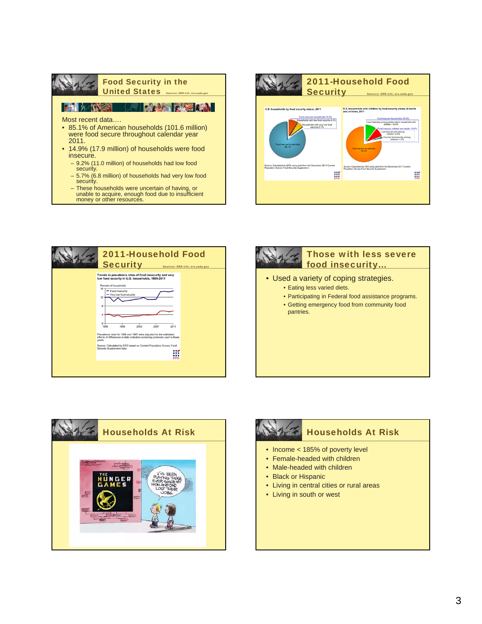|                                                                                                                          | <b>Food Security in the</b><br><b>United States</b> Sources: ERR-141; ers.usda.gov |             |
|--------------------------------------------------------------------------------------------------------------------------|------------------------------------------------------------------------------------|-------------|
| <b>EXTREMELTAN</b>                                                                                                       |                                                                                    | <b>PAGE</b> |
| Most recent data<br>• 85.1% of American households (101.6 million)<br>were food secure throughout calendar year<br>2011. |                                                                                    |             |
| • 14.9% (17.9 million) of households were food<br>insecure.                                                              |                                                                                    |             |
| - 9.2% (11.0 million) of households had low food<br>security.                                                            |                                                                                    |             |
| - 5.7% (6.8 million) of households had very low food<br>security.                                                        |                                                                                    |             |

– These households were uncertain of having, or unable to acquire, enough food due to insufficient money or other resources.











- Income < 185% of poverty level
- Female-headed with children
- Male-headed with children
- Black or Hispanic
- Living in central cities or rural areas
- Living in south or west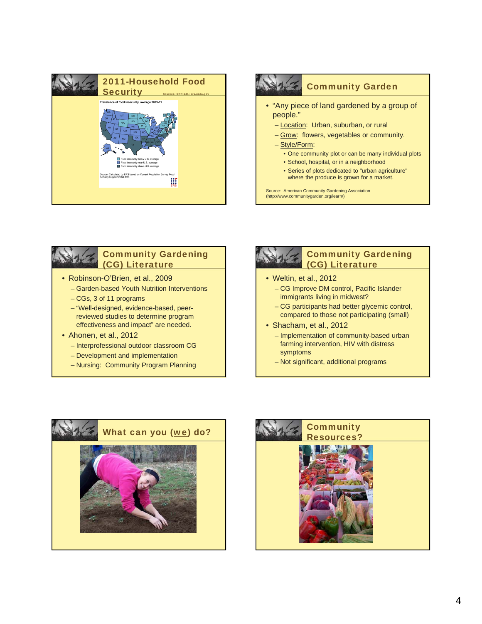





## Community Gardening (CG) Literature

- Robinson-O'Brien, et al., 2009
	- Garden-based Youth Nutrition Interventions
	- CGs, 3 of 11 programs
	- "Well-designed, evidence-based, peerreviewed studies to determine program effectiveness and impact" are needed.
- Ahonen, et al., 2012
	- Interprofessional outdoor classroom CG
	- Development and implementation
	- Nursing: Community Program Planning





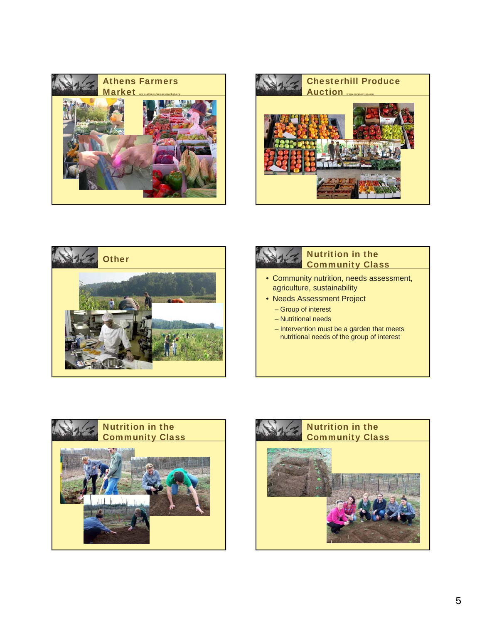









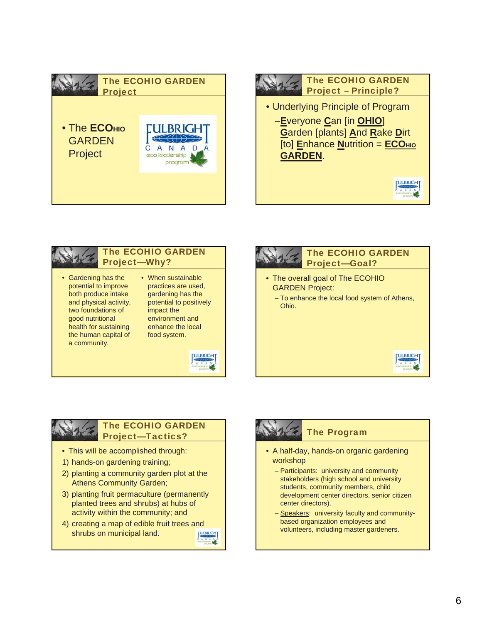





enhance the local food system.







### The ECOHIO GARDEN Project—Tactics?

- This will be accomplished through:
- 1) hands-on gardening training;

the human capital of a community.

- 2) planting a community garden plot at the Athens Community Garden;
- 3) planting fruit permaculture (permanently planted trees and shrubs) at hubs of activity within the community; and
- 4) creating a map of edible fruit trees and shrubs on municipal land.



## The Program

- A half-day, hands-on organic gardening workshop
	- Participants: university and community stakeholders (high school and university students, community members, child development center directors, senior citizen center directors).
	- Speakers: university faculty and communitybased organization employees and volunteers, including master gardeners.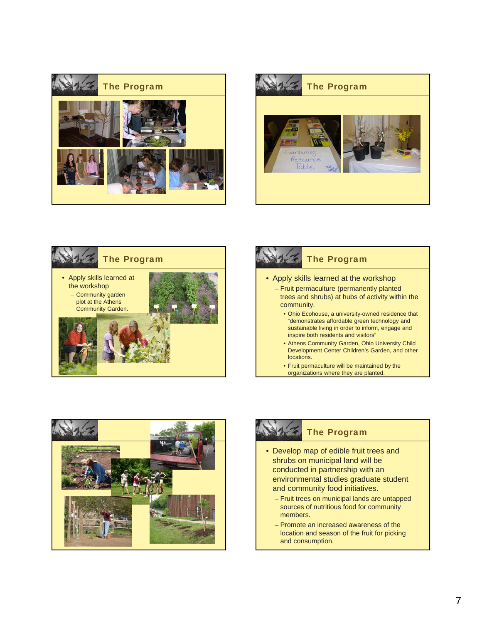











### The Program

- Develop map of edible fruit trees and shrubs on municipal land will be conducted in partnership with an environmental studies graduate student and community food initiatives.
	- Fruit trees on municipal lands are untapped sources of nutritious food for community members.
	- Promote an increased awareness of the location and season of the fruit for picking and consumption.